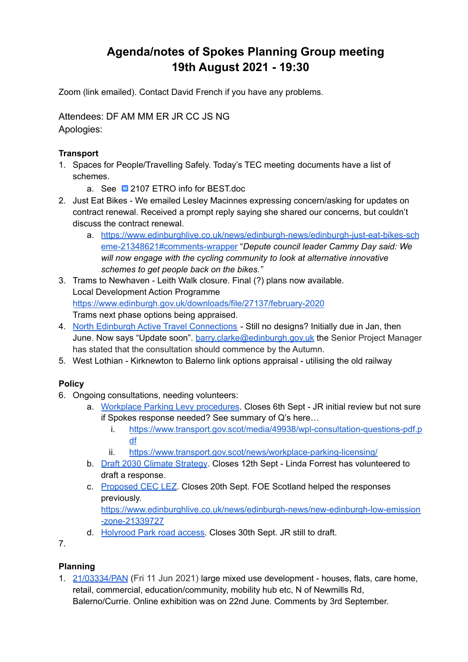# **Agenda/notes of Spokes Planning Group meeting 19th August 2021 - 19:30**

Zoom (link emailed). Contact David French if you have any problems.

Attendees: DF AM MM ER JR CC JS NG Apologies:

#### **Transport**

- 1. Spaces for People/Travelling Safely. Today's TEC meeting documents have a list of schemes.
	- a. See **2107 ETRO** info for [BEST.doc](https://docs.google.com/document/d/18d2kpTLMNJEV8axN5FGy8ANL0ssHiKEI/edit?usp=sharing&ouid=111197287464161786406&rtpof=true&sd=true)
- 2. Just Eat Bikes We emailed Lesley Macinnes expressing concern/asking for updates on contract renewal. Received a prompt reply saying she shared our concerns, but couldn't discuss the contract renewal.
	- a. [https://www.edinburghlive.co.uk/news/edinburgh-news/edinburgh-just-eat-bikes-sch](https://www.edinburghlive.co.uk/news/edinburgh-news/edinburgh-just-eat-bikes-scheme-21348621#comments-wrapper) [eme-21348621#comments-wrapper](https://www.edinburghlive.co.uk/news/edinburgh-news/edinburgh-just-eat-bikes-scheme-21348621#comments-wrapper) "*Depute council leader Cammy Day said: We will now engage with the cycling community to look at alternative innovative schemes to get people back on the bikes."*
- 3. Trams to Newhaven Leith Walk closure. Final (?) plans now available. Local Development Action Programme <https://www.edinburgh.gov.uk/downloads/file/27137/february-2020> Trams next phase options being appraised.
- 4. North Edinburgh Active Travel [Connections](https://neatconnections.commonplace.is/about) Still no designs? Initially due in Jan, then June. Now says "Update soon". [barry.clarke@edinburgh.gov.uk](mailto:barry.clarke@edinburgh.gov.uk) the Senior Project Manager has stated that the consultation should commence by the Autumn.
- 5. West Lothian Kirknewton to Balerno link options appraisal utilising the old railway

## **Policy**

- 6. Ongoing consultations, needing volunteers:
	- a. Workplace Parking Levy [procedures](https://www.transport.gov.scot/consultation/workplace-parking-licensing-consultation-on-regulations-and-guidance). Closes 6th Sept JR initial review but not sure if Spokes response needed? See summary of Q's here…
		- i. [https://www.transport.gov.scot/media/49938/wpl-consultation-questions-pdf.p](https://www.transport.gov.scot/media/49938/wpl-consultation-questions-pdf.pdf) [df](https://www.transport.gov.scot/media/49938/wpl-consultation-questions-pdf.pdf)
		- ii. <https://www.transport.gov.scot/news/workplace-parking-licensing/>
	- b. Draft 2030 Climate [Strategy](https://consultationhub.edinburgh.gov.uk/ce/2030-climate-strategy/). Closes 12th Sept Linda Forrest has volunteered to draft a response.
	- c. [Proposed](https://consultationhub.edinburgh.gov.uk/sfc/low-emission-zone/) CEC LEZ. Closes 20th Sept. FOE Scotland helped the responses previously. [https://www.edinburghlive.co.uk/news/edinburgh-news/new-edinburgh-low-emission](https://www.edinburghlive.co.uk/news/edinburgh-news/new-edinburgh-low-emission-zone-21339727) [-zone-21339727](https://www.edinburghlive.co.uk/news/edinburgh-news/new-edinburgh-low-emission-zone-21339727)
	- d. [Holyrood](https://consultations.historicenvironment.scot/commercial-tourism/holyrood-park/) Park road access. Closes 30th Sept. JR still to draft.

7.

## **Planning**

1. [21/03334/PAN](https://citydev-portal.edinburgh.gov.uk/idoxpa-web/simpleSearchResults.do?action=firstPage) (Fri 11 Jun 2021) large mixed use development - houses, flats, care home, retail, commercial, education/community, mobility hub etc, N of Newmills Rd, Balerno/Currie. Online exhibition was on 22nd June. Comments by 3rd September.